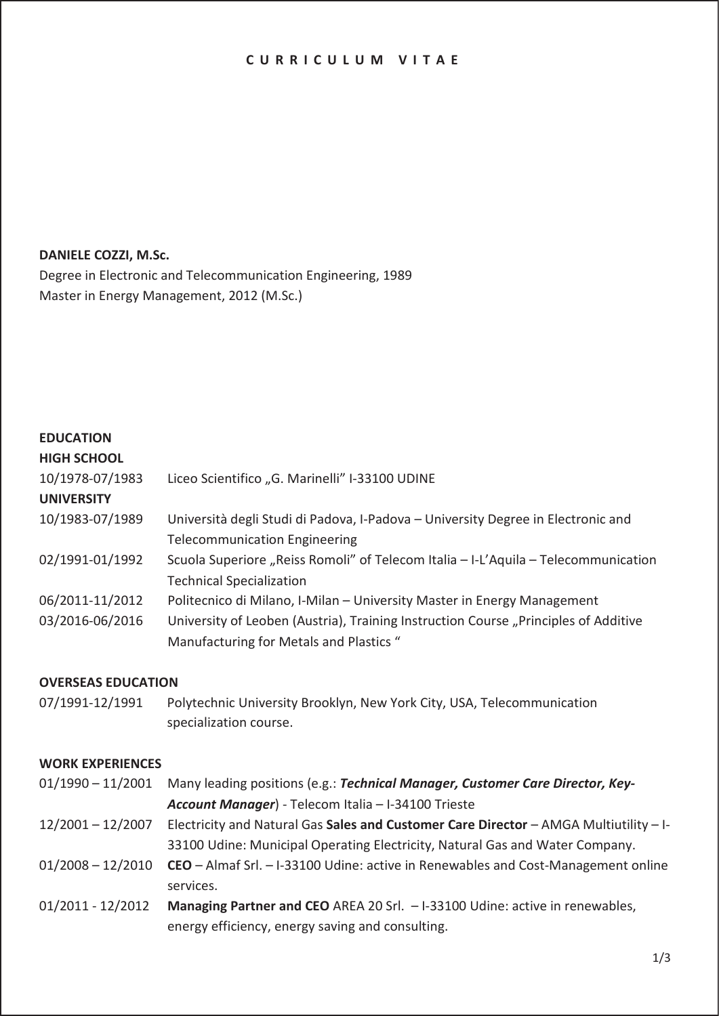## **CURRICULUM VITAE**

#### **DANIELE COZZI, M.Sc.**

Degree in Electronic and Telecommunication Engineering, 1989 Master in Energy Management, 2012 (M.Sc.)

# **EDUCATION**

| <b>HIGH SCHOOL</b> |                                                                                     |
|--------------------|-------------------------------------------------------------------------------------|
| 10/1978-07/1983    | Liceo Scientifico "G. Marinelli" I-33100 UDINE                                      |
| <b>UNIVERSITY</b>  |                                                                                     |
| 10/1983-07/1989    | Università degli Studi di Padova, I-Padova - University Degree in Electronic and    |
|                    | <b>Telecommunication Engineering</b>                                                |
| 02/1991-01/1992    | Scuola Superiore "Reiss Romoli" of Telecom Italia - I-L'Aquila - Telecommunication  |
|                    | <b>Technical Specialization</b>                                                     |
| 06/2011-11/2012    | Politecnico di Milano, I-Milan - University Master in Energy Management             |
| 03/2016-06/2016    | University of Leoben (Austria), Training Instruction Course "Principles of Additive |
|                    | Manufacturing for Metals and Plastics "                                             |
|                    |                                                                                     |

## **OVERSEAS EDUCATION**

07/1991-12/1991 Polytechnic University Brooklyn, New York City, USA, Telecommunication specialization course.

#### **WORK EXPERIENCES**

| $01/1990 - 11/2001$ | Many leading positions (e.g.: Technical Manager, Customer Care Director, Key-                       |
|---------------------|-----------------------------------------------------------------------------------------------------|
|                     | Account Manager) - Telecom Italia - I-34100 Trieste                                                 |
| $12/2001 - 12/2007$ | Electricity and Natural Gas Sales and Customer Care Director - AMGA Multiutility - I-               |
|                     | 33100 Udine: Municipal Operating Electricity, Natural Gas and Water Company.                        |
|                     | 01/2008 - 12/2010 CEO - Almaf Srl. - I-33100 Udine: active in Renewables and Cost-Management online |
|                     | services.                                                                                           |
| $01/2011 - 12/2012$ | Managing Partner and CEO AREA 20 Srl. - I-33100 Udine: active in renewables,                        |
|                     | energy efficiency, energy saving and consulting.                                                    |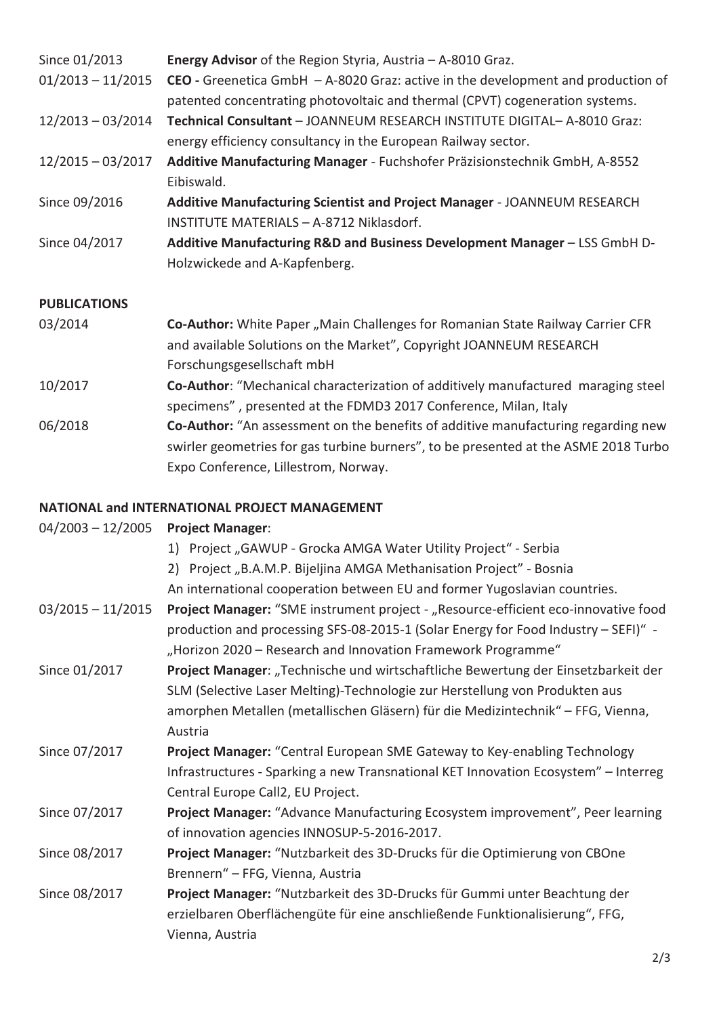| Since 01/2013       | Energy Advisor of the Region Styria, Austria - A-8010 Graz.                                                                                                        |  |
|---------------------|--------------------------------------------------------------------------------------------------------------------------------------------------------------------|--|
| $01/2013 - 11/2015$ | CEO - Greenetica GmbH $-$ A-8020 Graz: active in the development and production of<br>patented concentrating photovoltaic and thermal (CPVT) cogeneration systems. |  |
| $12/2013 - 03/2014$ | Technical Consultant - JOANNEUM RESEARCH INSTITUTE DIGITAL- A-8010 Graz:<br>energy efficiency consultancy in the European Railway sector.                          |  |
| $12/2015 - 03/2017$ | Additive Manufacturing Manager - Fuchshofer Präzisionstechnik GmbH, A-8552<br>Eibiswald.                                                                           |  |
| Since 09/2016       | Additive Manufacturing Scientist and Project Manager - JOANNEUM RESEARCH<br>INSTITUTE MATERIALS - A-8712 Niklasdorf.                                               |  |
| Since 04/2017       | Additive Manufacturing R&D and Business Development Manager - LSS GmbH D-<br>Holzwickede and A-Kapfenberg.                                                         |  |
| <b>PUBLICATIONS</b> |                                                                                                                                                                    |  |
| 03/2014             | Co-Author: White Paper, Main Challenges for Romanian State Railway Carrier CFR<br>and available Solutions on the Market", Copyright JOANNEUM RESEARCH              |  |

- Forschungsgesellschaft mbH
- 10/2017 **Co-Author**: "Mechanical characterization of additively manufactured maraging steel specimens" , presented at the FDMD3 2017 Conference, Milan, Italy
- 06/2018 **Co-Author:** "An assessment on the benefits of additive manufacturing regarding new swirler geometries for gas turbine burners", to be presented at the ASME 2018 Turbo Expo Conference, Lillestrom, Norway.

# **NATIONAL and INTERNATIONAL PROJECT MANAGEMENT**

| $04/2003 - 12/2005$ | <b>Project Manager:</b>                                                             |
|---------------------|-------------------------------------------------------------------------------------|
|                     | 1) Project "GAWUP - Grocka AMGA Water Utility Project" - Serbia                     |
|                     | Project "B.A.M.P. Bijeljina AMGA Methanisation Project" - Bosnia<br>2)              |
|                     | An international cooperation between EU and former Yugoslavian countries.           |
| $03/2015 - 11/2015$ | Project Manager: "SME instrument project - "Resource-efficient eco-innovative food  |
|                     | production and processing SFS-08-2015-1 (Solar Energy for Food Industry - SEFI)" -  |
|                     | "Horizon 2020 - Research and Innovation Framework Programme"                        |
| Since 01/2017       | Project Manager: "Technische und wirtschaftliche Bewertung der Einsetzbarkeit der   |
|                     | SLM (Selective Laser Melting)-Technologie zur Herstellung von Produkten aus         |
|                     | amorphen Metallen (metallischen Gläsern) für die Medizintechnik" – FFG, Vienna,     |
|                     | Austria                                                                             |
| Since 07/2017       | Project Manager: "Central European SME Gateway to Key-enabling Technology           |
|                     | Infrastructures - Sparking a new Transnational KET Innovation Ecosystem" - Interreg |
|                     | Central Europe Call2, EU Project.                                                   |
| Since 07/2017       | Project Manager: "Advance Manufacturing Ecosystem improvement", Peer learning       |
|                     | of innovation agencies INNOSUP-5-2016-2017.                                         |
| Since 08/2017       | Project Manager: "Nutzbarkeit des 3D-Drucks für die Optimierung von CBOne           |
|                     | Brennern" - FFG, Vienna, Austria                                                    |
| Since 08/2017       | Project Manager: "Nutzbarkeit des 3D-Drucks für Gummi unter Beachtung der           |
|                     | erzielbaren Oberflächengüte für eine anschließende Funktionalisierung", FFG,        |
|                     | Vienna, Austria                                                                     |